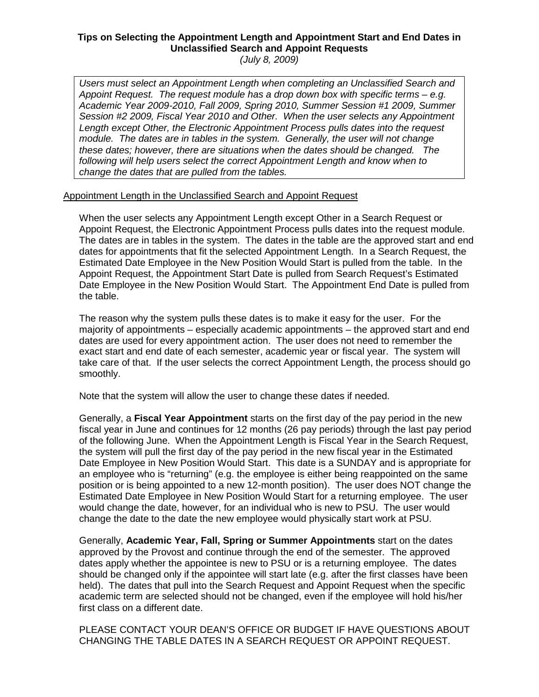## **Tips on Selecting the Appointment Length and Appointment Start and End Dates in Unclassified Search and Appoint Requests**

(July 8, 2009)

Users must select an Appointment Length when completing an Unclassified Search and Appoint Request. The request module has a drop down box with specific terms – e.g. Academic Year 2009-2010, Fall 2009, Spring 2010, Summer Session #1 2009, Summer Session #2 2009, Fiscal Year 2010 and Other. When the user selects any Appointment Length except Other, the Electronic Appointment Process pulls dates into the request module. The dates are in tables in the system. Generally, the user will not change these dates; however, there are situations when the dates should be changed. The following will help users select the correct Appointment Length and know when to change the dates that are pulled from the tables.

Appointment Length in the Unclassified Search and Appoint Request

When the user selects any Appointment Length except Other in a Search Request or Appoint Request, the Electronic Appointment Process pulls dates into the request module. The dates are in tables in the system. The dates in the table are the approved start and end dates for appointments that fit the selected Appointment Length. In a Search Request, the Estimated Date Employee in the New Position Would Start is pulled from the table. In the Appoint Request, the Appointment Start Date is pulled from Search Request's Estimated Date Employee in the New Position Would Start. The Appointment End Date is pulled from the table.

The reason why the system pulls these dates is to make it easy for the user. For the majority of appointments – especially academic appointments – the approved start and end dates are used for every appointment action. The user does not need to remember the exact start and end date of each semester, academic year or fiscal year. The system will take care of that. If the user selects the correct Appointment Length, the process should go smoothly.

Note that the system will allow the user to change these dates if needed.

Generally, a **Fiscal Year Appointment** starts on the first day of the pay period in the new fiscal year in June and continues for 12 months (26 pay periods) through the last pay period of the following June. When the Appointment Length is Fiscal Year in the Search Request, the system will pull the first day of the pay period in the new fiscal year in the Estimated Date Employee in New Position Would Start. This date is a SUNDAY and is appropriate for an employee who is "returning" (e.g. the employee is either being reappointed on the same position or is being appointed to a new 12-month position). The user does NOT change the Estimated Date Employee in New Position Would Start for a returning employee. The user would change the date, however, for an individual who is new to PSU. The user would change the date to the date the new employee would physically start work at PSU.

Generally, **Academic Year, Fall, Spring or Summer Appointments** start on the dates approved by the Provost and continue through the end of the semester. The approved dates apply whether the appointee is new to PSU or is a returning employee. The dates should be changed only if the appointee will start late (e.g. after the first classes have been held). The dates that pull into the Search Request and Appoint Request when the specific academic term are selected should not be changed, even if the employee will hold his/her first class on a different date.

PLEASE CONTACT YOUR DEAN'S OFFICE OR BUDGET IF HAVE QUESTIONS ABOUT CHANGING THE TABLE DATES IN A SEARCH REQUEST OR APPOINT REQUEST.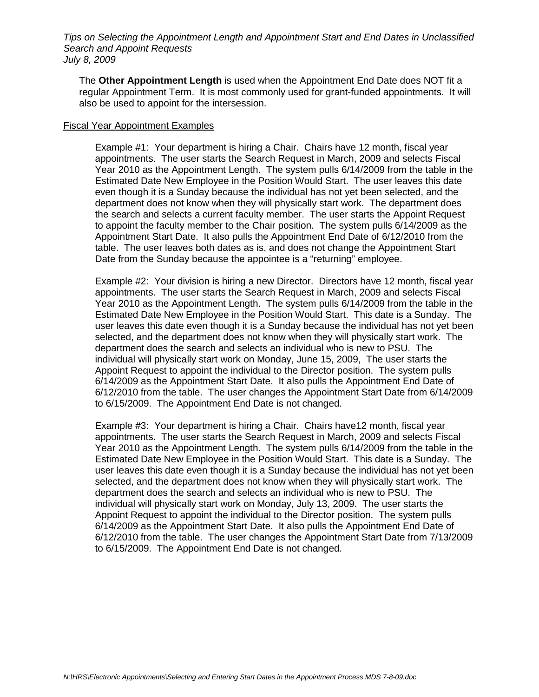Tips on Selecting the Appointment Length and Appointment Start and End Dates in Unclassified Search and Appoint Requests July 8, 2009

The **Other Appointment Length** is used when the Appointment End Date does NOT fit a regular Appointment Term. It is most commonly used for grant-funded appointments. It will also be used to appoint for the intersession.

## Fiscal Year Appointment Examples

Example #1: Your department is hiring a Chair. Chairs have 12 month, fiscal year appointments. The user starts the Search Request in March, 2009 and selects Fiscal Year 2010 as the Appointment Length. The system pulls 6/14/2009 from the table in the Estimated Date New Employee in the Position Would Start. The user leaves this date even though it is a Sunday because the individual has not yet been selected, and the department does not know when they will physically start work. The department does the search and selects a current faculty member. The user starts the Appoint Request to appoint the faculty member to the Chair position. The system pulls 6/14/2009 as the Appointment Start Date. It also pulls the Appointment End Date of 6/12/2010 from the table. The user leaves both dates as is, and does not change the Appointment Start Date from the Sunday because the appointee is a "returning" employee.

Example #2: Your division is hiring a new Director. Directors have 12 month, fiscal year appointments. The user starts the Search Request in March, 2009 and selects Fiscal Year 2010 as the Appointment Length. The system pulls 6/14/2009 from the table in the Estimated Date New Employee in the Position Would Start. This date is a Sunday. The user leaves this date even though it is a Sunday because the individual has not yet been selected, and the department does not know when they will physically start work. The department does the search and selects an individual who is new to PSU. The individual will physically start work on Monday, June 15, 2009, The user starts the Appoint Request to appoint the individual to the Director position. The system pulls 6/14/2009 as the Appointment Start Date. It also pulls the Appointment End Date of 6/12/2010 from the table. The user changes the Appointment Start Date from 6/14/2009 to 6/15/2009. The Appointment End Date is not changed.

Example #3: Your department is hiring a Chair. Chairs have12 month, fiscal year appointments. The user starts the Search Request in March, 2009 and selects Fiscal Year 2010 as the Appointment Length. The system pulls 6/14/2009 from the table in the Estimated Date New Employee in the Position Would Start. This date is a Sunday. The user leaves this date even though it is a Sunday because the individual has not yet been selected, and the department does not know when they will physically start work. The department does the search and selects an individual who is new to PSU. The individual will physically start work on Monday, July 13, 2009. The user starts the Appoint Request to appoint the individual to the Director position. The system pulls 6/14/2009 as the Appointment Start Date. It also pulls the Appointment End Date of 6/12/2010 from the table. The user changes the Appointment Start Date from 7/13/2009 to 6/15/2009. The Appointment End Date is not changed.